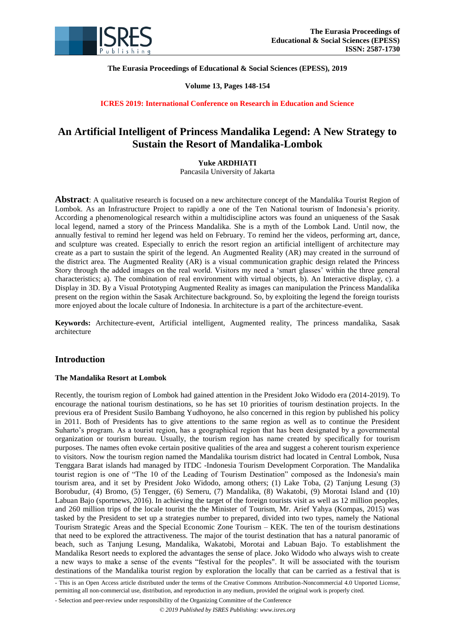

**The Eurasia Proceedings of Educational & Social Sciences (EPESS), 2019**

# **Volume 13, Pages 148-154**

**ICRES 2019: International Conference on Research in Education and Science**

# **An Artificial Intelligent of Princess Mandalika Legend: A New Strategy to Sustain the Resort of Mandalika-Lombok**

# **Yuke ARDHIATI**

Pancasila University of Jakarta

**Abstract**: A qualitative research is focused on a new architecture concept of the Mandalika Tourist Region of Lombok. As an Infrastructure Project to rapidly a one of the Ten National tourism of Indonesia's priority. According a phenomenological research within a multidiscipline actors was found an uniqueness of the Sasak local legend, named a story of the Princess Mandalika. She is a myth of the Lombok Land. Until now, the annually festival to remind her legend was held on February. To remind her the videos, performing art, dance, and sculpture was created. Especially to enrich the resort region an artificial intelligent of architecture may create as a part to sustain the spirit of the legend. An Augmented Reality (AR) may created in the surround of the district area. The Augmented Reality (AR) is a visual communication graphic design related the Princess Story through the added images on the real world. Visitors my need a "smart glasses" within the three general characteristics; a). The combination of real environment with virtual objects, b). An Interactive display, c). a Display in 3D. By a Visual Prototyping Augmented Reality as images can manipulation the Princess Mandalika present on the region within the Sasak Architecture background. So, by exploiting the legend the foreign tourists more enjoyed about the locale culture of Indonesia. In architecture is a part of the architecture-event.

**Keywords:** Architecture-event, Artificial intelligent, Augmented reality, The princess mandalika, Sasak architecture

# **Introduction**

## **The Mandalika Resort at Lombok**

Recently, the tourism region of Lombok had gained attention in the President Joko Widodo era (2014-2019). To encourage the national tourism destinations, so he has set 10 priorities of tourism destination projects. In the previous era of President Susilo Bambang Yudhoyono, he also concerned in this region by published his policy in 2011. Both of Presidents has to give attentions to the same region as well as to continue the President Suharto"s program. As a tourist region, has a geographical region that has been designated by a governmental organization or tourism bureau. Usually, the tourism region has name created by specifically for tourism purposes. The names often evoke certain positive qualities of the area and suggest a coherent tourism experience to visitors. Now the tourism region named the Mandalika tourism district had located in Central Lombok, Nusa Tenggara Barat islands had managed by ITDC -Indonesia Tourism Development Corporation. The Mandalika tourist region is one of "The 10 of the Leading of Tourism Destination" composed as the Indonesia's main tourism area, and it set by President Joko Widodo, among others; (1) Lake Toba, (2) Tanjung Lesung (3) Borobudur, (4) Bromo, (5) Tengger, (6) Semeru, (7) Mandalika, (8) Wakatobi, (9) Morotai Island and (10) Labuan Bajo (sportnews, 2016). In achieving the target of the foreign tourists visit as well as 12 million peoples, and 260 million trips of the locale tourist the the Minister of Tourism, Mr. Arief Yahya (Kompas, 2015) was tasked by the President to set up a strategies number to prepared, divided into two types, namely the National Tourism Strategic Areas and the Special Economic Zone Tourism – KEK. The ten of the tourism destinations that need to be explored the attractiveness. The major of the tourist destination that has a natural panoramic of beach, such as Tanjung Lesung, Mandalika, Wakatobi, Morotai and Labuan Bajo. To establishment the Mandalika Resort needs to explored the advantages the sense of place. Joko Widodo who always wish to create a new ways to make a sense of the events "festival for the peoples". It will be associated with the tourism destinations of the Mandalika tourist region by exploration the locally that can be carried as a festival that is

<sup>-</sup> This is an Open Access article distributed under the terms of the Creative Commons Attribution-Noncommercial 4.0 Unported License, permitting all non-commercial use, distribution, and reproduction in any medium, provided the original work is properly cited.

<sup>-</sup> Selection and peer-review under responsibility of the Organizing Committee of the Conference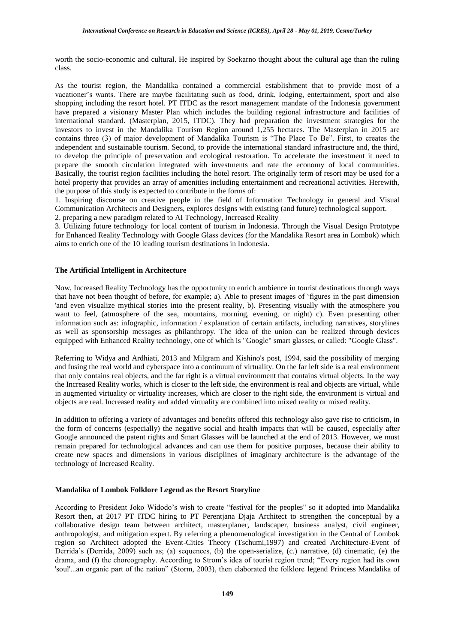worth the socio-economic and cultural. He inspired by Soekarno thought about the cultural age than the ruling class.

As the tourist region, the Mandalika contained a commercial establishment that to provide most of a vacationer"s wants. There are maybe facilitating such as food, drink, lodging, entertainment, sport and also shopping including the resort hotel. PT ITDC as the resort management mandate of the Indonesia government have prepared a visionary Master Plan which includes the building regional infrastructure and facilities of international standard. (Masterplan, 2015, ITDC). They had preparation the investment strategies for the investors to invest in the Mandalika Tourism Region around 1,255 hectares. The Masterplan in 2015 are contains three (3) of major development of Mandalika Tourism is "The Place To Be". First, to creates the independent and sustainable tourism. Second, to provide the international standard infrastructure and, the third, to develop the principle of preservation and ecological restoration. To accelerate the investment it need to prepare the smooth circulation integrated with investments and rate the economy of local communities. Basically, the tourist region facilities including the hotel resort. The originally term of resort may be used for a hotel property that provides an array of amenities including entertainment and recreational activities. Herewith, the purpose of this study is expected to contribute in the forms of:

1. Inspiring discourse on creative people in the field of Information Technology in general and Visual Communication Architects and Designers, explores designs with existing (and future) technological support.

2. preparing a new paradigm related to AI Technology, Increased Reality

3. Utilizing future technology for local content of tourism in Indonesia. Through the Visual Design Prototype for Enhanced Reality Technology with Google Glass devices (for the Mandalika Resort area in Lombok) which aims to enrich one of the 10 leading tourism destinations in Indonesia.

#### **The Artificial Intelligent in Architecture**

Now, Increased Reality Technology has the opportunity to enrich ambience in tourist destinations through ways that have not been thought of before, for example; a). Able to present images of "figures in the past dimension 'and even visualize mythical stories into the present reality, b). Presenting visually with the atmosphere you want to feel, (atmosphere of the sea, mountains, morning, evening, or night) c). Even presenting other information such as: infographic, information / explanation of certain artifacts, including narratives, storylines as well as sponsorship messages as philanthropy. The idea of the union can be realized through devices equipped with Enhanced Reality technology, one of which is "Google" smart glasses, or called: "Google Glass".

Referring to Widya and Ardhiati, 2013 and Milgram and Kishino's post, 1994, said the possibility of merging and fusing the real world and cyberspace into a continuum of virtuality. On the far left side is a real environment that only contains real objects, and the far right is a virtual environment that contains virtual objects. In the way the Increased Reality works, which is closer to the left side, the environment is real and objects are virtual, while in augmented virtuality or virtuality increases, which are closer to the right side, the environment is virtual and objects are real. Increased reality and added virtuality are combined into mixed reality or mixed reality.

In addition to offering a variety of advantages and benefits offered this technology also gave rise to criticism, in the form of concerns (especially) the negative social and health impacts that will be caused, especially after Google announced the patent rights and Smart Glasses will be launched at the end of 2013. However, we must remain prepared for technological advances and can use them for positive purposes, because their ability to create new spaces and dimensions in various disciplines of imaginary architecture is the advantage of the technology of Increased Reality.

#### **Mandalika of Lombok Folklore Legend as the Resort Storyline**

According to President Joko Widodo"s wish to create "festival for the peoples" so it adopted into Mandalika Resort then, at 2017 PT ITDC hiring to PT Perentjana Djaja Architect to strengthen the conceptual by a collaborative design team between architect, masterplaner, landscaper, business analyst, civil engineer, anthropologist, and mitigation expert. By referring a phenomenological investigation in the Central of Lombok region so Architect adopted the Event-Cities Theory (Tschumi,1997) and created Architecture-Event of Derrida"s (Derrida, 2009) such as; (a) sequences, (b) the open-serialize, (c.) narrative, (d) cinematic, (e) the drama, and (f) the choreography. According to Strom"s idea of tourist region trend; "Every region had its own 'soul'...an organic part of the nation" (Storm, 2003), then elaborated the folklore legend Princess Mandalika of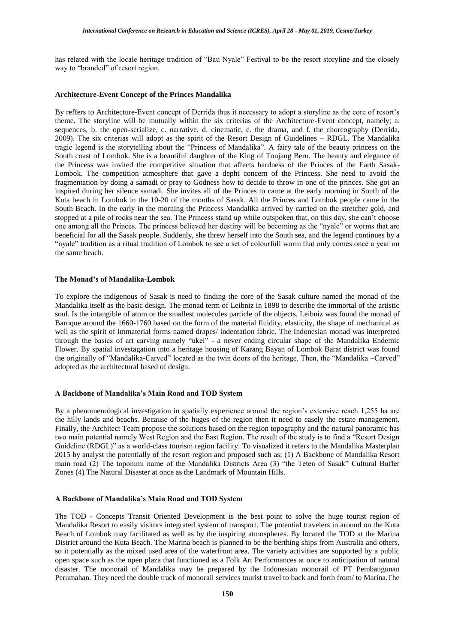has related with the locale heritage tradition of "Bau Nyale" Festival to be the resort storyline and the closely way to "branded" of resort region.

#### **Architecture-Event Concept of the Princes Mandalika**

By reffers to Architecture-Event concept of Derrida thus it necessary to adopt a storyline as the core of resort's theme. The storyline will be mutually within the six criterias of the Architecture-Event concept, namely; a. sequences, b. the open-serialize, c. narrative, d. cinematic, e. the drama, and f. the choreography (Derrida, 2009). The six criterias will adopt as the spirit of the Resort Design of Guidelines – RDGL. The Mandalika tragic legend is the storytelling about the "Princess of Mandalika". A fairy tale of the beauty princess on the South coast of Lombok. She is a beautiful daughter of the King of Tonjang Beru. The beauty and elegance of the Princess was invited the competitive situation that affects hardness of the Princes of the Earth Sasak-Lombok. The competition atmosphere that gave a depht concern of the Princess. She need to avoid the fragmentation by doing a samadi or pray to Godness how to decide to throw in one of the princes. She got an inspired during her silence samadi. She invites all of the Princes to came at the early morning in South of the Kuta beach in Lombok in the 10-20 of the months of Sasak. All the Princes and Lombok people came in the South Beach. In the early in the morning the Princess Mandalika arrived by carried on the stretcher gold, and stopped at a pile of rocks near the sea. The Princess stand up while outspoken that, on this day, she can't choose one among all the Princes. The princess believed her destiny will be becoming as the "nyale" or worms that are beneficial for all the Sasak people. Suddenly, she threw herself into the South sea, and the legend continues by a "nyale" tradition as a ritual tradition of Lombok to see a set of colourfull worm that only comes once a year on the same beach.

#### **The Monad's of Mandalika-Lombok**

To explore the indigenous of Sasak is need to finding the core of the Sasak culture named the monad of the Mandalika itself as the basic design. The monad term of Leibniz in 1898 to describe the immortal of the artistic soul. Is the intangible of atom or the smallest molecules particle of the objects. Leibniz was found the monad of Baroque around the 1660-1760 based on the form of the material fluidity, elasticity, the shape of mechanical as well as the spirit of immaterial forms named drapes/ indentation fabric. The Indonesian monad was interpreted through the basics of art carving namely "ukel" - a never ending circular shape of the Mandalika Endemic Flower. By spatial investagation into a heritage housing of Karang Bayan of Lombok Barat district was found the originally of "Mandalika-Carved" located as the twin doors of the heritage. Then, the "Mandalika –Carved" adopted as the architectural based of design.

#### **A Backbone of Mandalika's Main Road and TOD System**

By a phenomenological investigation in spatially experience around the region"s extensive reach 1,255 ha are the hilly lands and beachs. Because of the huges of the region then it need to easely the estate management. Finally, the Architect Team propose the solutions based on the region topography and the natural panoramic has two main potential namely West Region and the East Region. The result of the study is to find a "Resort Design Guideline (RDGL)" as a world-class tourism region facility. To visualized it refers to the Mandalika Masterplan 2015 by analyst the potentially of the resort region and proposed such as; (1) A Backbone of Mandalika Resort main road (2) The toponimi name of the Mandalika Districts Area (3) "the Teten of Sasak" Cultural Buffer Zones (4) The Natural Disaster at once as the Landmark of Mountain Hills.

#### **A Backbone of Mandalika's Main Road and TOD System**

The TOD - Concepts Transit Oriented Development is the best point to solve the huge tourist region of Mandalika Resort to easily visitors integrated system of transport. The potential travelers in around on the Kuta Beach of Lombok may facilitated as well as by the inspiring atmospheres. By located the TOD at the Marina District around the Kuta Beach. The Marina beach is planned to be the berthing ships from Australia and others, so it potentially as the mixed used area of the waterfront area. The variety activities are supported by a public open space such as the open plaza that functioned as a Folk Art Performances at once to anticipation of natural disaster. The monorail of Mandalika may be prepared by the Indonesian monorail of PT Pembangunan Perumahan. They need the double track of monorail services tourist travel to back and forth from/ to Marina.The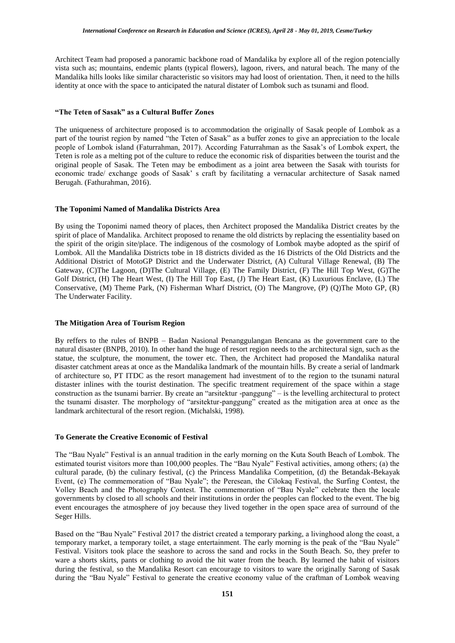Architect Team had proposed a panoramic backbone road of Mandalika by explore all of the region potencially vista such as; mountains, endemic plants (typical flowers), lagoon, rivers, and natural beach. The many of the Mandalika hills looks like similar characteristic so visitors may had loost of orientation. Then, it need to the hills identity at once with the space to anticipated the natural distater of Lombok such as tsunami and flood.

#### **"The Teten of Sasak" as a Cultural Buffer Zones**

The uniqueness of architecture proposed is to accommodation the originally of Sasak people of Lombok as a part of the tourist region by named "the Teten of Sasak" as a buffer zones to give an appreciation to the locale people of Lombok island (Faturrahman, 2017). According Faturrahman as the Sasak"s of Lombok expert, the Teten is role as a melting pot of the culture to reduce the economic risk of disparities between the tourist and the original people of Sasak. The Teten may be embodiment as a joint area between the Sasak with tourists for economic trade/ exchange goods of Sasak" s craft by facilitating a vernacular architecture of Sasak named Berugah. (Fathurahman, 2016).

# **The Toponimi Named of Mandalika Districts Area**

By using the Toponimi named theory of places, then Architect proposed the Mandalika District creates by the spirit of place of Mandalika. Architect proposed to rename the old districts by replacing the essentiality based on the spirit of the origin site/place. The indigenous of the cosmology of Lombok maybe adopted as the spirif of Lombok. All the Mandalika Districts tobe in 18 districts divided as the 16 Districts of the Old Districts and the Additional District of MotoGP District and the Underwater District, (A) Cultural Village Renewal, (B) The Gateway, (C)The Lagoon, (D)The Cultural Village, (E) The Family District, (F) The Hill Top West, (G)The Golf District, (H) The Heart West, (I) The Hill Top East, (J) The Heart East, (K) Luxurious Enclave, (L) The Conservative, (M) Theme Park, (N) Fisherman Wharf District, (O) The Mangrove, (P) (Q)The Moto GP, (R) The Underwater Facility.

#### **The Mitigation Area of Tourism Region**

By reffers to the rules of BNPB – Badan Nasional Penanggulangan Bencana as the government care to the natural disaster (BNPB, 2010). In other hand the huge of resort region needs to the architectural sign, such as the statue, the sculpture, the monument, the tower etc. Then, the Architect had proposed the Mandalika natural disaster catchment areas at once as the Mandalika landmark of the mountain hills. By create a serial of landmark of architecture so, PT ITDC as the resort management had investment of to the region to the tsunami natural distaster inlines with the tourist destination. The specific treatment requirement of the space within a stage construction as the tsunami barrier. By create an "arsitektur -panggung" – is the levelling architectural to protect the tsunami disaster. The morphology of "arsitektur-panggung" created as the mitigation area at once as the landmark architectural of the resort region. (Michalski, 1998).

#### **To Generate the Creative Economic of Festival**

The "Bau Nyale" Festival is an annual tradition in the early morning on the Kuta South Beach of Lombok. The estimated tourist visitors more than 100,000 peoples. The "Bau Nyale" Festival activities, among others; (a) the cultural parade, (b) the culinary festival, (c) the Princess Mandalika Competition, (d) the Betandak-Bekayak Event, (e) The commemoration of "Bau Nyale"; the Peresean, the Cilokaq Festival, the Surfing Contest, the Volley Beach and the Photography Contest. The commemoration of "Bau Nyale" celebrate then the locale governments by closed to all schools and their institutions in order the peoples can flocked to the event. The big event encourages the atmosphere of joy because they lived together in the open space area of surround of the Seger Hills.

Based on the "Bau Nyale" Festival 2017 the district created a temporary parking, a livinghood along the coast, a temporary market, a temporary toilet, a stage entertainment. The early morning is the peak of the "Bau Nyale" Festival. Visitors took place the seashore to across the sand and rocks in the South Beach. So, they prefer to ware a shorts skirts, pants or clothing to avoid the hit water from the beach. By learned the habit of visitors during the festival, so the Mandalika Resort can encourage to visitors to ware the originally Sarong of Sasak during the "Bau Nyale" Festival to generate the creative economy value of the craftman of Lombok weaving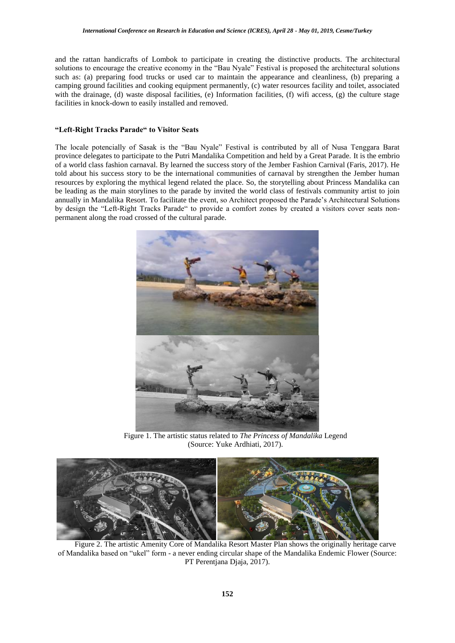and the rattan handicrafts of Lombok to participate in creating the distinctive products. The architectural solutions to encourage the creative economy in the "Bau Nyale" Festival is proposed the architectural solutions such as: (a) preparing food trucks or used car to maintain the appearance and cleanliness, (b) preparing a camping ground facilities and cooking equipment permanently, (c) water resources facility and toilet, associated with the drainage, (d) waste disposal facilities, (e) Information facilities, (f) wifi access, (g) the culture stage facilities in knock-down to easily installed and removed.

#### **"Left-Right Tracks Parade" to Visitor Seats**

The locale potencially of Sasak is the "Bau Nyale" Festival is contributed by all of Nusa Tenggara Barat province delegates to participate to the Putri Mandalika Competition and held by a Great Parade. It is the embrio of a world class fashion carnaval. By learned the success story of the Jember Fashion Carnival (Faris, 2017). He told about his success story to be the international communities of carnaval by strengthen the Jember human resources by exploring the mythical legend related the place. So, the storytelling about Princess Mandalika can be leading as the main storylines to the parade by invited the world class of festivals community artist to join annually in Mandalika Resort. To facilitate the event, so Architect proposed the Parade"s Architectural Solutions by design the "Left-Right Tracks Parade" to provide a comfort zones by created a visitors cover seats nonpermanent along the road crossed of the cultural parade.



Figure 1. The artistic status related to *The Princess of Mandalika* Legend (Source: Yuke Ardhiati, 2017).



Figure 2. The artistic Amenity Core of Mandalika Resort Master Plan shows the originally heritage carve of Mandalika based on "ukel" form - a never ending circular shape of the Mandalika Endemic Flower (Source: PT Perentjana Djaja, 2017).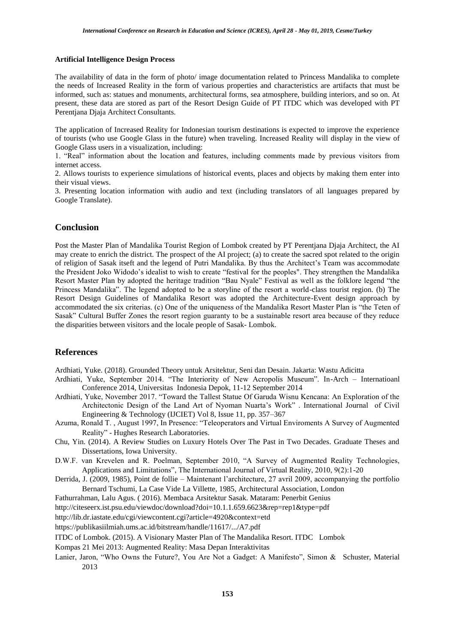#### **Artificial Intelligence Design Process**

The availability of data in the form of photo/ image documentation related to Princess Mandalika to complete the needs of Increased Reality in the form of various properties and characteristics are artifacts that must be informed, such as: statues and monuments, architectural forms, sea atmosphere, building interiors, and so on. At present, these data are stored as part of the Resort Design Guide of PT ITDC which was developed with PT Perentjana Djaja Architect Consultants.

The application of Increased Reality for Indonesian tourism destinations is expected to improve the experience of tourists (who use Google Glass in the future) when traveling. Increased Reality will display in the view of Google Glass users in a visualization, including:

1. "Real" information about the location and features, including comments made by previous visitors from internet access.

2. Allows tourists to experience simulations of historical events, places and objects by making them enter into their visual views.

3. Presenting location information with audio and text (including translators of all languages prepared by Google Translate).

#### **Conclusion**

Post the Master Plan of Mandalika Tourist Region of Lombok created by PT Perentjana Djaja Architect, the AI may create to enrich the district. The prospect of the AI project; (a) to create the sacred spot related to the origin of religion of Sasak itseft and the legend of Putri Mandalika. By thus the Architect"s Team was accommodate the President Joko Widodo"s idealist to wish to create "festival for the peoples". They strengthen the Mandalika Resort Master Plan by adopted the heritage tradition "Bau Nyale" Festival as well as the folklore legend "the Princess Mandalika". The legend adopted to be a storyline of the resort a world-class tourist region. (b) The Resort Design Guidelines of Mandalika Resort was adopted the Architecture-Event design approach by accommodated the six criterias. (c) One of the uniqueness of the Mandalika Resort Master Plan is "the Teten of Sasak" Cultural Buffer Zones the resort region guaranty to be a sustainable resort area because of they reduce the disparities between visitors and the locale people of Sasak- Lombok.

#### **References**

Ardhiati, Yuke. (2018). Grounded Theory untuk Arsitektur, Seni dan Desain. Jakarta: Wastu Adicitta

- Ardhiati, Yuke, September 2014. "The Interiority of New Acropolis Museum". In-Arch Internatioanl Conference 2014, Universitas Indonesia Depok, 11-12 September 2014
- Ardhiati, Yuke, November 2017. "Toward the Tallest Statue Of Garuda Wisnu Kencana: An Exploration of the Architectonic Design of the Land Art of Nyoman Nuarta"s Work" . International Journal of Civil Engineering & Technology (IJCIET) Vol 8, Issue 11, pp. 357–367
- Azuma, Ronald T. , August 1997, In Presence: "Teleoperators and Virtual Enviroments A Survey of Augmented Reality" - Hughes Research Laboratories.
- Chu, Yin. (2014). A Review Studies on Luxury Hotels Over The Past in Two Decades. Graduate Theses and Dissertations, Iowa University.
- D.W.F. van Krevelen and R. Poelman, September 2010, "A Survey of Augmented Reality Technologies, Applications and Limitations", The International Journal of Virtual Reality, 2010, 9(2):1-20
- Derrida, J. (2009, 1985), Point de follie Maintenant l"architecture, 27 avril 2009, accompanying the portfolio Bernard Tschumi, La Case Vide La Villette, 1985, Architectural Association, London
- Fathurrahman, Lalu Agus. ( 2016). Membaca Arsitektur Sasak. Mataram: Penerbit Genius
- http://citeseerx.ist.psu.edu/viewdoc/download?doi=10.1.1.659.6623&rep=rep1&type=pdf

http://lib.dr.iastate.edu/cgi/viewcontent.cgi?article=4920&context=etd

https://publikasiilmiah.ums.ac.id/bitstream/handle/11617/.../A7.pdf

ITDC of Lombok. (2015). A Visionary Master Plan of The Mandalika Resort. ITDC Lombok

Kompas 21 Mei 2013: Augmented Reality: Masa Depan Interaktivitas

Lanier, Jaron, "Who Owns the Future?, You Are Not a Gadget: A Manifesto", Simon & Schuster, Material 2013